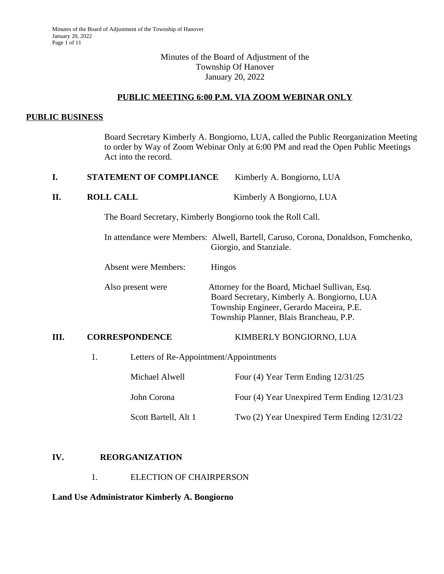## Minutes of the Board of Adjustment of the Township Of Hanover January 20, 2022

#### **PUBLIC MEETING 6:00 P.M. VIA ZOOM WEBINAR ONLY**

#### **PUBLIC BUSINESS**

Board Secretary Kimberly A. Bongiorno, LUA, called the Public Reorganization Meeting to order by Way of Zoom Webinar Only at 6:00 PM and read the Open Public Meetings Act into the record.

| <b>STATEMENT OF COMPLIANCE</b> | Kimberly A. Bongiorno, LUA |
|--------------------------------|----------------------------|
|                                |                            |

**II. ROLL CALL CALL EXECUTE:** Kimberly A Bongiorno, LUA

The Board Secretary, Kimberly Bongiorno took the Roll Call.

In attendance were Members: Alwell, Bartell, Caruso, Corona, Donaldson, Fomchenko, Giorgio, and Stanziale.

Absent were Members: Hingos

Also present were Attorney for the Board, Michael Sullivan, Esq. Board Secretary, Kimberly A. Bongiorno, LUA Township Engineer, Gerardo Maceira, P.E. Township Planner, Blais Brancheau, P.P.

#### **III. CORRESPONDENCE** KIMBERLY BONGIORNO, LUA

1. Letters of Re-Appointment/Appointments

| Michael Alwell       | Four (4) Year Term Ending $12/31/25$         |
|----------------------|----------------------------------------------|
| John Corona          | Four (4) Year Unexpired Term Ending 12/31/23 |
| Scott Bartell, Alt 1 | Two (2) Year Unexpired Term Ending 12/31/22  |

#### **IV. REORGANIZATION**

1. ELECTION OF CHAIRPERSON

#### **Land Use Administrator Kimberly A. Bongiorno**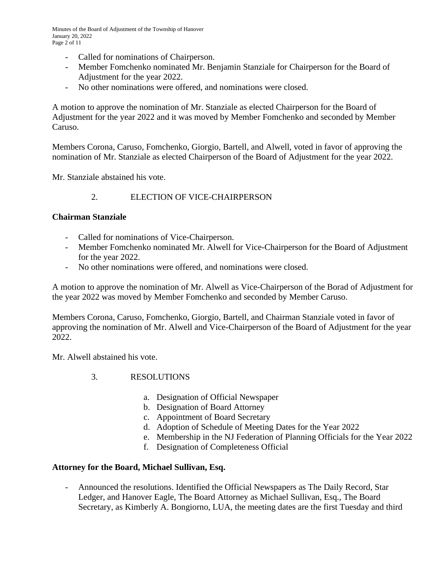Minutes of the Board of Adjustment of the Township of Hanover January 20, 2022 Page 2 of 11

- Called for nominations of Chairperson.
- Member Fomchenko nominated Mr. Benjamin Stanziale for Chairperson for the Board of Adjustment for the year 2022.
- No other nominations were offered, and nominations were closed.

A motion to approve the nomination of Mr. Stanziale as elected Chairperson for the Board of Adjustment for the year 2022 and it was moved by Member Fomchenko and seconded by Member Caruso.

Members Corona, Caruso, Fomchenko, Giorgio, Bartell, and Alwell, voted in favor of approving the nomination of Mr. Stanziale as elected Chairperson of the Board of Adjustment for the year 2022.

Mr. Stanziale abstained his vote.

## 2. ELECTION OF VICE-CHAIRPERSON

#### **Chairman Stanziale**

- Called for nominations of Vice-Chairperson.
- Member Fomchenko nominated Mr. Alwell for Vice-Chairperson for the Board of Adjustment for the year 2022.
- No other nominations were offered, and nominations were closed.

A motion to approve the nomination of Mr. Alwell as Vice-Chairperson of the Borad of Adjustment for the year 2022 was moved by Member Fomchenko and seconded by Member Caruso.

Members Corona, Caruso, Fomchenko, Giorgio, Bartell, and Chairman Stanziale voted in favor of approving the nomination of Mr. Alwell and Vice-Chairperson of the Board of Adjustment for the year 2022.

Mr. Alwell abstained his vote.

- 3. RESOLUTIONS
	- a. Designation of Official Newspaper
	- b. Designation of Board Attorney
	- c. Appointment of Board Secretary
	- d. Adoption of Schedule of Meeting Dates for the Year 2022
	- e. Membership in the NJ Federation of Planning Officials for the Year 2022
	- f. Designation of Completeness Official

#### **Attorney for the Board, Michael Sullivan, Esq.**

- Announced the resolutions. Identified the Official Newspapers as The Daily Record, Star Ledger, and Hanover Eagle, The Board Attorney as Michael Sullivan, Esq., The Board Secretary, as Kimberly A. Bongiorno, LUA, the meeting dates are the first Tuesday and third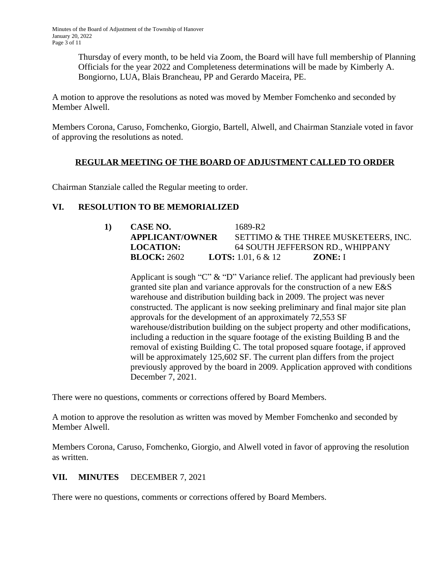Thursday of every month, to be held via Zoom, the Board will have full membership of Planning Officials for the year 2022 and Completeness determinations will be made by Kimberly A. Bongiorno, LUA, Blais Brancheau, PP and Gerardo Maceira, PE.

A motion to approve the resolutions as noted was moved by Member Fomchenko and seconded by Member Alwell.

Members Corona, Caruso, Fomchenko, Giorgio, Bartell, Alwell, and Chairman Stanziale voted in favor of approving the resolutions as noted.

# **REGULAR MEETING OF THE BOARD OF ADJUSTMENT CALLED TO ORDER**

Chairman Stanziale called the Regular meeting to order.

# **VI. RESOLUTION TO BE MEMORIALIZED**

| 1) | <b>CASE NO.</b>        | 1689-R2                              |
|----|------------------------|--------------------------------------|
|    | <b>APPLICANT/OWNER</b> | SETTIMO & THE THREE MUSKETEERS, INC. |
|    | <b>LOCATION:</b>       | 64 SOUTH JEFFERSON RD., WHIPPANY     |
|    | <b>BLOCK: 2602</b>     | ZONE: I<br><b>LOTS:</b> 1.01, 6 & 12 |

Applicant is sough "C" & "D" Variance relief. The applicant had previously been granted site plan and variance approvals for the construction of a new E&S warehouse and distribution building back in 2009. The project was never constructed. The applicant is now seeking preliminary and final major site plan approvals for the development of an approximately 72,553 SF warehouse/distribution building on the subject property and other modifications, including a reduction in the square footage of the existing Building B and the removal of existing Building C. The total proposed square footage, if approved will be approximately 125,602 SF. The current plan differs from the project previously approved by the board in 2009. Application approved with conditions December 7, 2021.

There were no questions, comments or corrections offered by Board Members.

A motion to approve the resolution as written was moved by Member Fomchenko and seconded by Member Alwell.

Members Corona, Caruso, Fomchenko, Giorgio, and Alwell voted in favor of approving the resolution as written.

## **VII. MINUTES** DECEMBER 7, 2021

There were no questions, comments or corrections offered by Board Members.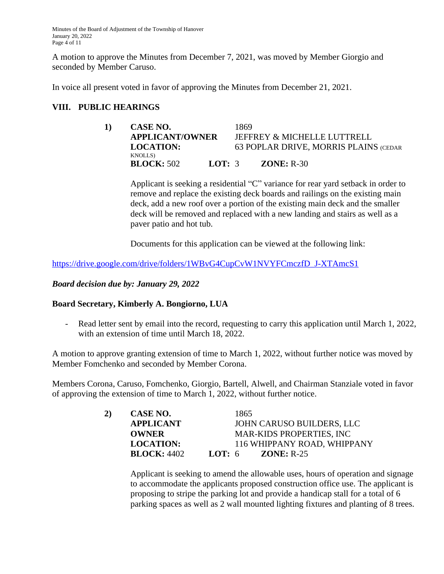Minutes of the Board of Adjustment of the Township of Hanover January 20, 2022 Page 4 of 11

A motion to approve the Minutes from December 7, 2021, was moved by Member Giorgio and seconded by Member Caruso.

In voice all present voted in favor of approving the Minutes from December 21, 2021.

## **VIII. PUBLIC HEARINGS**

| 1) | CASE NO.                             |          | 1869 |                                       |
|----|--------------------------------------|----------|------|---------------------------------------|
|    | <b>APPLICANT/OWNER</b>               |          |      | JEFFREY & MICHELLE LUTTRELL           |
|    | <b>LOCATION:</b>                     |          |      | 63 POPLAR DRIVE, MORRIS PLAINS (CEDAR |
|    | <b>KNOLLS</b> )<br><b>BLOCK:</b> 502 | LOT: $3$ |      | $ZONE: R-30$                          |

Applicant is seeking a residential "C" variance for rear yard setback in order to remove and replace the existing deck boards and railings on the existing main deck, add a new roof over a portion of the existing main deck and the smaller deck will be removed and replaced with a new landing and stairs as well as a paver patio and hot tub.

Documents for this application can be viewed at the following link:

[https://drive.google.com/drive/folders/1WBvG4CupCvW1NVYFCmczfD\\_J-XTAmcS1](https://drive.google.com/drive/folders/1WBvG4CupCvW1NVYFCmczfD_J-XTAmcS1)

*[Board decision due by:](https://drive.google.com/drive/folders/1WBvG4CupCvW1NVYFCmczfD_J-XTAmcS1) [January](https://drive.google.com/drive/folders/1WBvG4CupCvW1NVYFCmczfD_J-XTAmcS1) [29, 2022](https://drive.google.com/drive/folders/1WBvG4CupCvW1NVYFCmczfD_J-XTAmcS1)*

#### **[Board Secretary, Kimberly A. Bongiorno, LUA](https://drive.google.com/drive/folders/1WBvG4CupCvW1NVYFCmczfD_J-XTAmcS1)**

- [Read letter sent by email into the record, requesting to carry this application until March 1, 2022,](https://drive.google.com/drive/folders/1WBvG4CupCvW1NVYFCmczfD_J-XTAmcS1) [with an extension of time until March 18, 2022.](https://drive.google.com/drive/folders/1WBvG4CupCvW1NVYFCmczfD_J-XTAmcS1)

[A motion to approve granting extension of time to March 1, 2022, without further notice was moved by](https://drive.google.com/drive/folders/1WBvG4CupCvW1NVYFCmczfD_J-XTAmcS1)  [Member Fomchenko and seconded by Member Corona.](https://drive.google.com/drive/folders/1WBvG4CupCvW1NVYFCmczfD_J-XTAmcS1)

[Members Corona, Caruso, Fomchenko, Giorgio, Bartell, Alwell, and Chairman Stanziale voted in favor](https://drive.google.com/drive/folders/1WBvG4CupCvW1NVYFCmczfD_J-XTAmcS1)  [of approving the extension of time to March 1, 2022, without](https://drive.google.com/drive/folders/1WBvG4CupCvW1NVYFCmczfD_J-XTAmcS1) [further notice.](https://drive.google.com/drive/folders/1WBvG4CupCvW1NVYFCmczfD_J-XTAmcS1)

| 2) | CASE NO.           | 1865                             |
|----|--------------------|----------------------------------|
|    | <b>APPLICANT</b>   | JOHN CARUSO BUILDERS, LLC        |
|    | <b>OWNER</b>       | <b>MAR-KIDS PROPERTIES, INC.</b> |
|    | <b>LOCATION:</b>   | 116 WHIPPANY ROAD, WHIPPANY      |
|    | <b>BLOCK: 4402</b> | LOT: $6$<br>$ZONE: R-25$         |

[Applicant](https://drive.google.com/drive/folders/1WBvG4CupCvW1NVYFCmczfD_J-XTAmcS1) [is seeking to amend the allowable uses, hours](https://drive.google.com/drive/folders/1WBvG4CupCvW1NVYFCmczfD_J-XTAmcS1) [of operation and signage](https://drive.google.com/drive/folders/1WBvG4CupCvW1NVYFCmczfD_J-XTAmcS1) [to](https://drive.google.com/drive/folders/1WBvG4CupCvW1NVYFCmczfD_J-XTAmcS1) [accommodate](https://drive.google.com/drive/folders/1WBvG4CupCvW1NVYFCmczfD_J-XTAmcS1) [the applicants proposed construction office use. The applicant is](https://drive.google.com/drive/folders/1WBvG4CupCvW1NVYFCmczfD_J-XTAmcS1)  [proposing to stripe the parking lot and provide a handicap stall for a total of 6](https://drive.google.com/drive/folders/1WBvG4CupCvW1NVYFCmczfD_J-XTAmcS1)  [parking spaces as well as 2 wall mounted lighting fixtures and planting of 8 trees.](https://drive.google.com/drive/folders/1WBvG4CupCvW1NVYFCmczfD_J-XTAmcS1)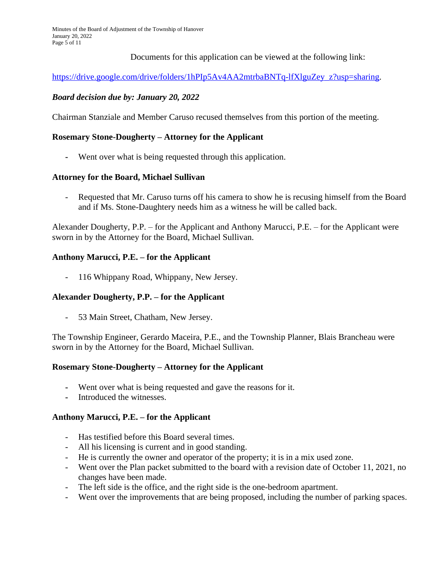Minutes of the Board of Adjustment of the Township of Hanover January 20, 2022 Page 5 of 11

Documents for this application can be viewed at the following link:

[https://drive.google.com/drive/folders/1hPIp5Av4AA2mtrbaBNTq-lfXlguZey\\_z?usp=sharing.](https://drive.google.com/drive/folders/1hPIp5Av4AA2mtrbaBNTq-lfXlguZey_z?usp=sharing)

## *[Board decision due by:](https://drive.google.com/drive/folders/1hPIp5Av4AA2mtrbaBNTq-lfXlguZey_z?usp=sharing) [January](https://drive.google.com/drive/folders/1hPIp5Av4AA2mtrbaBNTq-lfXlguZey_z?usp=sharing) [20, 2022](https://drive.google.com/drive/folders/1hPIp5Av4AA2mtrbaBNTq-lfXlguZey_z?usp=sharing)*

[Chairman Stanziale and Member Caruso recused themselves from this portion of the meeting.](https://drive.google.com/drive/folders/1hPIp5Av4AA2mtrbaBNTq-lfXlguZey_z?usp=sharing)

#### **[Rosemary Stone-Dougherty](https://drive.google.com/drive/folders/1hPIp5Av4AA2mtrbaBNTq-lfXlguZey_z?usp=sharing) [–](https://drive.google.com/drive/folders/1hPIp5Av4AA2mtrbaBNTq-lfXlguZey_z?usp=sharing) [Attorney for the Applicant](https://drive.google.com/drive/folders/1hPIp5Av4AA2mtrbaBNTq-lfXlguZey_z?usp=sharing)**

**-** [Went over what is being requested through this application.](https://drive.google.com/drive/folders/1hPIp5Av4AA2mtrbaBNTq-lfXlguZey_z?usp=sharing)

#### **[Attorney for the Board, Michael Sullivan](https://drive.google.com/drive/folders/1hPIp5Av4AA2mtrbaBNTq-lfXlguZey_z?usp=sharing)**

Requested that Mr. Caruso turns off his camera to show he is recusing himself from the Board [and if Ms. Stone-Daughtery needs him as a witness he will](https://drive.google.com/drive/folders/1hPIp5Av4AA2mtrbaBNTq-lfXlguZey_z?usp=sharing) [be called back.](https://drive.google.com/drive/folders/1hPIp5Av4AA2mtrbaBNTq-lfXlguZey_z?usp=sharing)

[Alexander Dougherty, P.P.](https://drive.google.com/drive/folders/1hPIp5Av4AA2mtrbaBNTq-lfXlguZey_z?usp=sharing) [–](https://drive.google.com/drive/folders/1hPIp5Av4AA2mtrbaBNTq-lfXlguZey_z?usp=sharing) [for the Applicant and Anthony Marucci, P.E.](https://drive.google.com/drive/folders/1hPIp5Av4AA2mtrbaBNTq-lfXlguZey_z?usp=sharing) [–](https://drive.google.com/drive/folders/1hPIp5Av4AA2mtrbaBNTq-lfXlguZey_z?usp=sharing) [for the Applicant were](https://drive.google.com/drive/folders/1hPIp5Av4AA2mtrbaBNTq-lfXlguZey_z?usp=sharing)  [sworn in by the Attorney](https://drive.google.com/drive/folders/1hPIp5Av4AA2mtrbaBNTq-lfXlguZey_z?usp=sharing) [for the Board, Michael Sullivan.](https://drive.google.com/drive/folders/1hPIp5Av4AA2mtrbaBNTq-lfXlguZey_z?usp=sharing)

#### **[Anthony Marucci, P.E.](https://drive.google.com/drive/folders/1hPIp5Av4AA2mtrbaBNTq-lfXlguZey_z?usp=sharing) [–](https://drive.google.com/drive/folders/1hPIp5Av4AA2mtrbaBNTq-lfXlguZey_z?usp=sharing) [for the Applicant](https://drive.google.com/drive/folders/1hPIp5Av4AA2mtrbaBNTq-lfXlguZey_z?usp=sharing)**

- [116 Whippany Road, Whippany, New Jersey.](https://drive.google.com/drive/folders/1hPIp5Av4AA2mtrbaBNTq-lfXlguZey_z?usp=sharing)

## **[Alexander Dougherty, P.P.](https://drive.google.com/drive/folders/1hPIp5Av4AA2mtrbaBNTq-lfXlguZey_z?usp=sharing) [–](https://drive.google.com/drive/folders/1hPIp5Av4AA2mtrbaBNTq-lfXlguZey_z?usp=sharing) [for the Applicant](https://drive.google.com/drive/folders/1hPIp5Av4AA2mtrbaBNTq-lfXlguZey_z?usp=sharing)**

- [53 Main Street, Chatham, New Jersey.](https://drive.google.com/drive/folders/1hPIp5Av4AA2mtrbaBNTq-lfXlguZey_z?usp=sharing)

[The Township Engineer, Gerardo Maceira, P.E., and the Township Planner, Blais Brancheau](https://drive.google.com/drive/folders/1hPIp5Av4AA2mtrbaBNTq-lfXlguZey_z?usp=sharing) [were](https://drive.google.com/drive/folders/1hPIp5Av4AA2mtrbaBNTq-lfXlguZey_z?usp=sharing)  [sworn in by the Attorney for the Board, Michael Sullivan.](https://drive.google.com/drive/folders/1hPIp5Av4AA2mtrbaBNTq-lfXlguZey_z?usp=sharing)

#### **[Rosemary Stone-Dougherty](https://drive.google.com/drive/folders/1hPIp5Av4AA2mtrbaBNTq-lfXlguZey_z?usp=sharing) [–](https://drive.google.com/drive/folders/1hPIp5Av4AA2mtrbaBNTq-lfXlguZey_z?usp=sharing) [Attorney for the Applicant](https://drive.google.com/drive/folders/1hPIp5Av4AA2mtrbaBNTq-lfXlguZey_z?usp=sharing)**

- **-** [Went over what is being requested and gave the reasons for it.](https://drive.google.com/drive/folders/1hPIp5Av4AA2mtrbaBNTq-lfXlguZey_z?usp=sharing)
- **-** [Introduced the witnesses.](https://drive.google.com/drive/folders/1hPIp5Av4AA2mtrbaBNTq-lfXlguZey_z?usp=sharing)

## **[Anthony Marucci, P.E.](https://drive.google.com/drive/folders/1hPIp5Av4AA2mtrbaBNTq-lfXlguZey_z?usp=sharing) [–](https://drive.google.com/drive/folders/1hPIp5Av4AA2mtrbaBNTq-lfXlguZey_z?usp=sharing) [for the Applicant](https://drive.google.com/drive/folders/1hPIp5Av4AA2mtrbaBNTq-lfXlguZey_z?usp=sharing)**

- [Has testified before this Board several times.](https://drive.google.com/drive/folders/1hPIp5Av4AA2mtrbaBNTq-lfXlguZey_z?usp=sharing)
- [All his licensing is current and in good standing.](https://drive.google.com/drive/folders/1hPIp5Av4AA2mtrbaBNTq-lfXlguZey_z?usp=sharing)
- [He is currently the owner and operator of the property; it is in a mix used zone.](https://drive.google.com/drive/folders/1hPIp5Av4AA2mtrbaBNTq-lfXlguZey_z?usp=sharing)
- [Went over the Plan packet submitted to the board with a revision date of October](https://drive.google.com/drive/folders/1hPIp5Av4AA2mtrbaBNTq-lfXlguZey_z?usp=sharing) [11, 2021, no](https://drive.google.com/drive/folders/1hPIp5Av4AA2mtrbaBNTq-lfXlguZey_z?usp=sharing)  [changes have been made.](https://drive.google.com/drive/folders/1hPIp5Av4AA2mtrbaBNTq-lfXlguZey_z?usp=sharing)
- [The left side is the office, and the](https://drive.google.com/drive/folders/1hPIp5Av4AA2mtrbaBNTq-lfXlguZey_z?usp=sharing) [right side is the one-bedroom](https://drive.google.com/drive/folders/1hPIp5Av4AA2mtrbaBNTq-lfXlguZey_z?usp=sharing) [apartment.](https://drive.google.com/drive/folders/1hPIp5Av4AA2mtrbaBNTq-lfXlguZey_z?usp=sharing)
- [Went over the improvements that are being proposed, including the](https://drive.google.com/drive/folders/1hPIp5Av4AA2mtrbaBNTq-lfXlguZey_z?usp=sharing) [number of parking spaces.](https://drive.google.com/drive/folders/1hPIp5Av4AA2mtrbaBNTq-lfXlguZey_z?usp=sharing)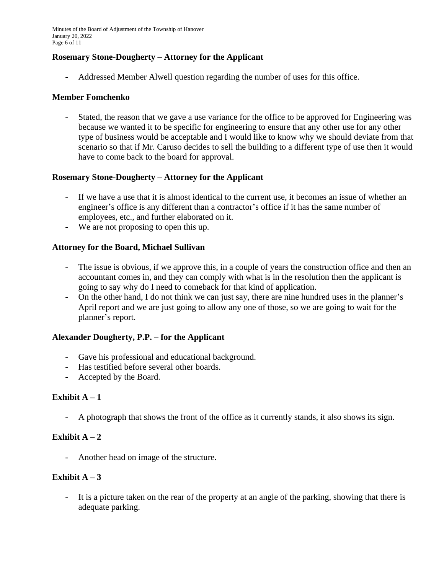Minutes of the Board of Adjustment of the Township of Hanover January 20, 2022 Page 6 of 11

## **Rosemary Stone-Dougherty – Attorney for the Applicant**

- Addressed Member Alwell question regarding the number of uses for this office.

#### **Member Fomchenko**

- Stated, the reason that we gave a use variance for the office to be approved for Engineering was because we wanted it to be specific for engineering to ensure that any other use for any other type of business would be acceptable and I would like to know why we should deviate from that scenario so that if Mr. Caruso decides to sell the building to a different type of use then it would have to come back to the board for approval.

## **Rosemary Stone-Dougherty – Attorney for the Applicant**

- If we have a use that it is almost identical to the current use, it becomes an issue of whether an engineer's office is any different than a contractor's office if it has the same number of employees, etc., and further elaborated on it.
- We are not proposing to open this up.

## **Attorney for the Board, Michael Sullivan**

- The issue is obvious, if we approve this, in a couple of years the construction office and then an accountant comes in, and they can comply with what is in the resolution then the applicant is going to say why do I need to comeback for that kind of application.
- On the other hand, I do not think we can just say, there are nine hundred uses in the planner's April report and we are just going to allow any one of those, so we are going to wait for the planner's report.

#### **Alexander Dougherty, P.P. – for the Applicant**

- Gave his professional and educational background.
- Has testified before several other boards.
- Accepted by the Board.

## **Exhibit**  $A - 1$

- A photograph that shows the front of the office as it currently stands, it also shows its sign.

## **Exhibit A**  $-2$

- Another head on image of the structure.

## **Exhibit A**  $-3$

It is a picture taken on the rear of the property at an angle of the parking, showing that there is adequate parking.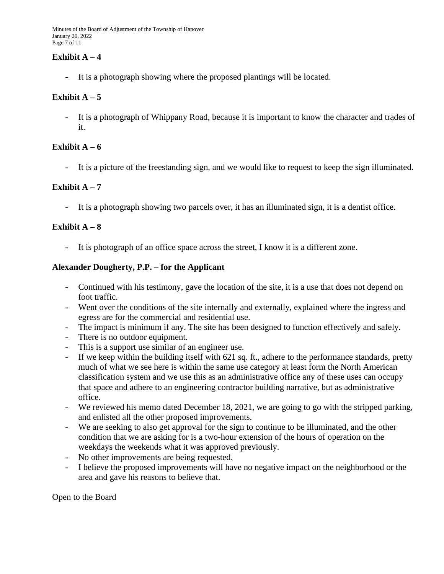Minutes of the Board of Adjustment of the Township of Hanover January 20, 2022 Page 7 of 11

## **Exhibit A**  $-4$

- It is a photograph showing where the proposed plantings will be located.

## **Exhibit A**  $-5$

- It is a photograph of Whippany Road, because it is important to know the character and trades of it.

# **Exhibit A**  $-6$

- It is a picture of the freestanding sign, and we would like to request to keep the sign illuminated.

# **Exhibit A**  $-7$

It is a photograph showing two parcels over, it has an illuminated sign, it is a dentist office.

# **Exhibit**  $A - 8$

It is photograph of an office space across the street, I know it is a different zone.

## **Alexander Dougherty, P.P. – for the Applicant**

- Continued with his testimony, gave the location of the site, it is a use that does not depend on foot traffic.
- Went over the conditions of the site internally and externally, explained where the ingress and egress are for the commercial and residential use.
- The impact is minimum if any. The site has been designed to function effectively and safely.
- There is no outdoor equipment.
- This is a support use similar of an engineer use.
- If we keep within the building itself with 621 sq. ft., adhere to the performance standards, pretty much of what we see here is within the same use category at least form the North American classification system and we use this as an administrative office any of these uses can occupy that space and adhere to an engineering contractor building narrative, but as administrative office.
- We reviewed his memo dated December 18, 2021, we are going to go with the stripped parking, and enlisted all the other proposed improvements.
- We are seeking to also get approval for the sign to continue to be illuminated, and the other condition that we are asking for is a two-hour extension of the hours of operation on the weekdays the weekends what it was approved previously.
- No other improvements are being requested.
- I believe the proposed improvements will have no negative impact on the neighborhood or the area and gave his reasons to believe that.

Open to the Board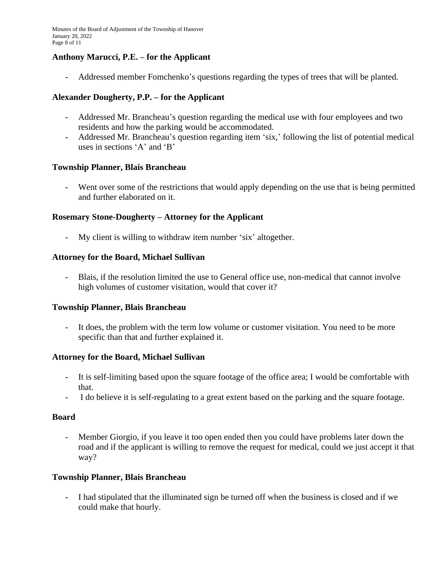## **Anthony Marucci, P.E. – for the Applicant**

- Addressed member Fomchenko's questions regarding the types of trees that will be planted.

## **Alexander Dougherty, P.P. – for the Applicant**

- Addressed Mr. Brancheau's question regarding the medical use with four employees and two residents and how the parking would be accommodated.
- Addressed Mr. Brancheau's question regarding item 'six,' following the list of potential medical uses in sections 'A' and 'B'

#### **Township Planner, Blais Brancheau**

- Went over some of the restrictions that would apply depending on the use that is being permitted and further elaborated on it.

## **Rosemary Stone-Dougherty – Attorney for the Applicant**

My client is willing to withdraw item number 'six' altogether.

#### **Attorney for the Board, Michael Sullivan**

- Blais, if the resolution limited the use to General office use, non-medical that cannot involve high volumes of customer visitation, would that cover it?

#### **Township Planner, Blais Brancheau**

It does, the problem with the term low volume or customer visitation. You need to be more specific than that and further explained it.

#### **Attorney for the Board, Michael Sullivan**

- It is self-limiting based upon the square footage of the office area; I would be comfortable with that.
- I do believe it is self-regulating to a great extent based on the parking and the square footage.

#### **Board**

- Member Giorgio, if you leave it too open ended then you could have problems later down the road and if the applicant is willing to remove the request for medical, could we just accept it that way?

#### **Township Planner, Blais Brancheau**

- I had stipulated that the illuminated sign be turned off when the business is closed and if we could make that hourly.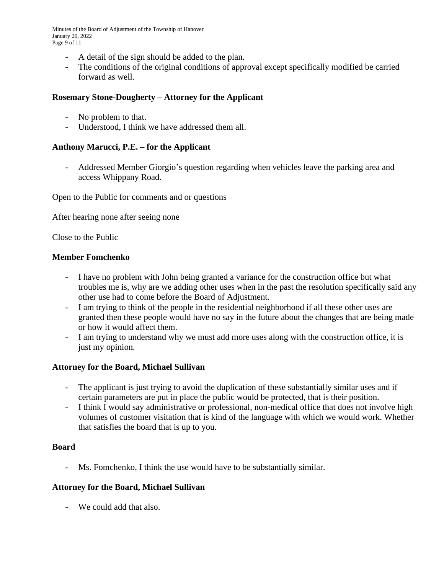Minutes of the Board of Adjustment of the Township of Hanover January 20, 2022 Page 9 of 11

- A detail of the sign should be added to the plan.
- The conditions of the original conditions of approval except specifically modified be carried forward as well.

## **Rosemary Stone-Dougherty – Attorney for the Applicant**

- No problem to that.
- Understood, I think we have addressed them all.

# **Anthony Marucci, P.E. – for the Applicant**

- Addressed Member Giorgio's question regarding when vehicles leave the parking area and access Whippany Road.

Open to the Public for comments and or questions

After hearing none after seeing none

Close to the Public

## **Member Fomchenko**

- I have no problem with John being granted a variance for the construction office but what troubles me is, why are we adding other uses when in the past the resolution specifically said any other use had to come before the Board of Adjustment.
- I am trying to think of the people in the residential neighborhood if all these other uses are granted then these people would have no say in the future about the changes that are being made or how it would affect them.
- I am trying to understand why we must add more uses along with the construction office, it is just my opinion.

## **Attorney for the Board, Michael Sullivan**

- The applicant is just trying to avoid the duplication of these substantially similar uses and if certain parameters are put in place the public would be protected, that is their position.
- I think I would say administrative or professional, non-medical office that does not involve high volumes of customer visitation that is kind of the language with which we would work. Whether that satisfies the board that is up to you.

## **Board**

- Ms. Fomchenko, I think the use would have to be substantially similar.

## **Attorney for the Board, Michael Sullivan**

- We could add that also.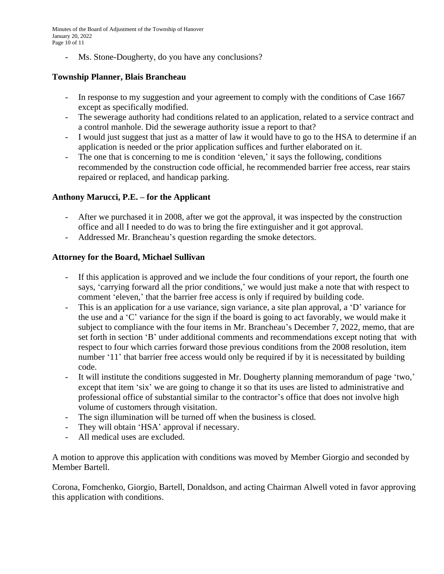Minutes of the Board of Adjustment of the Township of Hanover January 20, 2022 Page 10 of 11

- Ms. Stone-Dougherty, do you have any conclusions?

# **Township Planner, Blais Brancheau**

- In response to my suggestion and your agreement to comply with the conditions of Case 1667 except as specifically modified.
- The sewerage authority had conditions related to an application, related to a service contract and a control manhole. Did the sewerage authority issue a report to that?
- I would just suggest that just as a matter of law it would have to go to the HSA to determine if an application is needed or the prior application suffices and further elaborated on it.
- The one that is concerning to me is condition 'eleven,' it says the following, conditions recommended by the construction code official, he recommended barrier free access, rear stairs repaired or replaced, and handicap parking.

# **Anthony Marucci, P.E. – for the Applicant**

- After we purchased it in 2008, after we got the approval, it was inspected by the construction office and all I needed to do was to bring the fire extinguisher and it got approval.
- Addressed Mr. Brancheau's question regarding the smoke detectors.

# **Attorney for the Board, Michael Sullivan**

- If this application is approved and we include the four conditions of your report, the fourth one says, 'carrying forward all the prior conditions,' we would just make a note that with respect to comment 'eleven,' that the barrier free access is only if required by building code.
- This is an application for a use variance, sign variance, a site plan approval, a 'D' variance for the use and a 'C' variance for the sign if the board is going to act favorably, we would make it subject to compliance with the four items in Mr. Brancheau's December 7, 2022, memo, that are set forth in section 'B' under additional comments and recommendations except noting that with respect to four which carries forward those previous conditions from the 2008 resolution, item number '11' that barrier free access would only be required if by it is necessitated by building code.
- It will institute the conditions suggested in Mr. Dougherty planning memorandum of page 'two,' except that item 'six' we are going to change it so that its uses are listed to administrative and professional office of substantial similar to the contractor's office that does not involve high volume of customers through visitation.
- The sign illumination will be turned off when the business is closed.
- They will obtain 'HSA' approval if necessary.
- All medical uses are excluded.

A motion to approve this application with conditions was moved by Member Giorgio and seconded by Member Bartell.

Corona, Fomchenko, Giorgio, Bartell, Donaldson, and acting Chairman Alwell voted in favor approving this application with conditions.